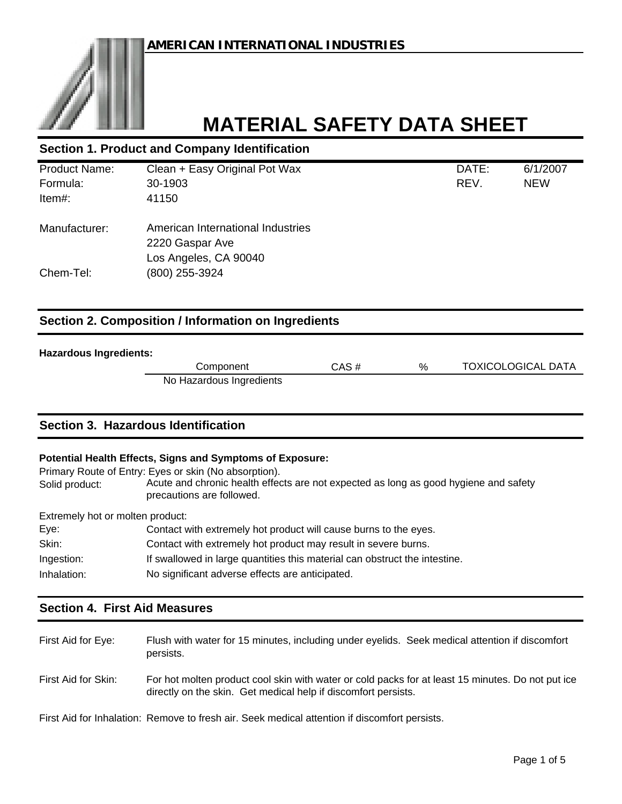| <b>Section 1. Product and Company Identification</b> |                                   |       |            |
|------------------------------------------------------|-----------------------------------|-------|------------|
| <b>Product Name:</b>                                 | Clean + Easy Original Pot Wax     | DATE: | 6/1/2007   |
| Formula:                                             | 30-1903                           | REV.  | <b>NEW</b> |
| Item#:                                               | 41150                             |       |            |
| Manufacturer:                                        | American International Industries |       |            |
|                                                      | 2220 Gaspar Ave                   |       |            |
|                                                      | Los Angeles, CA 90040             |       |            |
| Chem-Tel:                                            | (800) 255-3924                    |       |            |
|                                                      |                                   |       |            |
| Section 2. Composition / Information on Ingredients  |                                   |       |            |

#### **Hazardous Ingredients:**

| aruvus myr <del>c</del> ulcills. |                          |       |   |                           |
|----------------------------------|--------------------------|-------|---|---------------------------|
|                                  | Component                | CAS # | % | <b>TOXICOLOGICAL DATA</b> |
|                                  | No Hazardous Ingredients |       |   |                           |

# **Section 3. Hazardous Identification**

#### **Potential Health Effects, Signs and Symptoms of Exposure:**

Primary Route of Entry: Eyes or skin (No absorption).

Solid product: Acute and chronic health effects are not expected as long as good hygiene and safety precautions are followed.

Extremely hot or molten product:

| Eye:        | Contact with extremely hot product will cause burns to the eyes.           |
|-------------|----------------------------------------------------------------------------|
| Skin:       | Contact with extremely hot product may result in severe burns.             |
| Ingestion:  | If swallowed in large quantities this material can obstruct the intestine. |
| Inhalation: | No significant adverse effects are anticipated.                            |

### **Section 4. First Aid Measures**

| First Aid for Eye:  | Flush with water for 15 minutes, including under eyelids. Seek medical attention if discomfort<br>persists.                                                         |
|---------------------|---------------------------------------------------------------------------------------------------------------------------------------------------------------------|
| First Aid for Skin: | For hot molten product cool skin with water or cold packs for at least 15 minutes. Do not put ice<br>directly on the skin. Get medical help if discomfort persists. |

First Aid for Inhalation: Remove to fresh air. Seek medical attention if discomfort persists.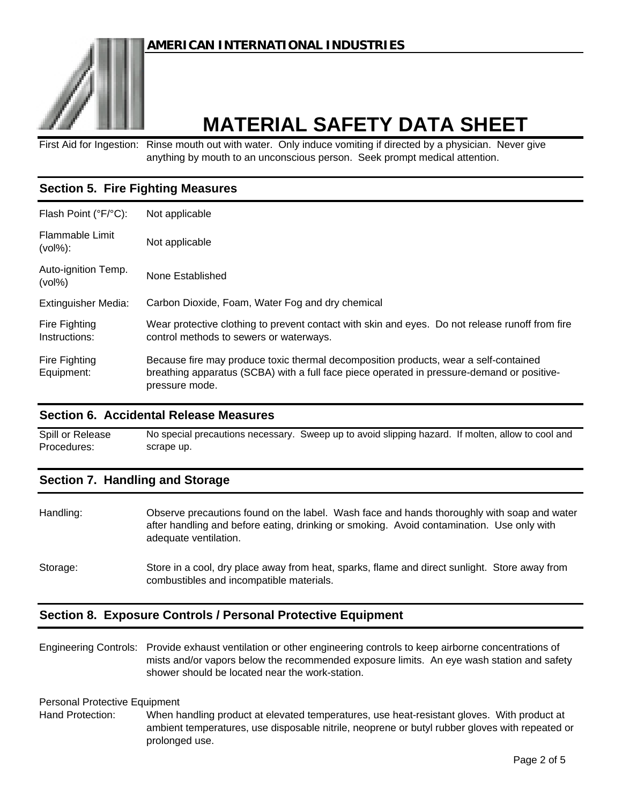# **AMERICAN INTERNATIONAL INDUSTRIES**



# **MATERIAL SAFETY DATA SHEET**

First Aid for Ingestion: Rinse mouth out with water. Only induce vomiting if directed by a physician. Never give anything by mouth to an unconscious person. Seek prompt medical attention.

# **Section 5. Fire Fighting Measures**

| Flash Point (°F/°C):             | Not applicable                                                                                                                                                                                       |
|----------------------------------|------------------------------------------------------------------------------------------------------------------------------------------------------------------------------------------------------|
| Flammable Limit<br>$(vol\%):$    | Not applicable                                                                                                                                                                                       |
| Auto-ignition Temp.<br>$(vol\%)$ | None Established                                                                                                                                                                                     |
| <b>Extinguisher Media:</b>       | Carbon Dioxide, Foam, Water Fog and dry chemical                                                                                                                                                     |
| Fire Fighting<br>Instructions:   | Wear protective clothing to prevent contact with skin and eyes. Do not release runoff from fire<br>control methods to sewers or waterways.                                                           |
| Fire Fighting<br>Equipment:      | Because fire may produce toxic thermal decomposition products, wear a self-contained<br>breathing apparatus (SCBA) with a full face piece operated in pressure-demand or positive-<br>pressure mode. |

#### **Section 6. Accidental Release Measures**

Spill or Release Procedures: No special precautions necessary. Sweep up to avoid slipping hazard. If molten, allow to cool and scrape up.

#### **Section 7. Handling and Storage**

Handling: Storage: Observe precautions found on the label. Wash face and hands thoroughly with soap and water after handling and before eating, drinking or smoking. Avoid contamination. Use only with adequate ventilation. Store in a cool, dry place away from heat, sparks, flame and direct sunlight. Store away from combustibles and incompatible materials.

### **Section 8. Exposure Controls / Personal Protective Equipment**

Engineering Controls: Provide exhaust ventilation or other engineering controls to keep airborne concentrations of mists and/or vapors below the recommended exposure limits. An eye wash station and safety shower should be located near the work-station.

#### Personal Protective Equipment

Hand Protection: When handling product at elevated temperatures, use heat-resistant gloves. With product at ambient temperatures, use disposable nitrile, neoprene or butyl rubber gloves with repeated or prolonged use.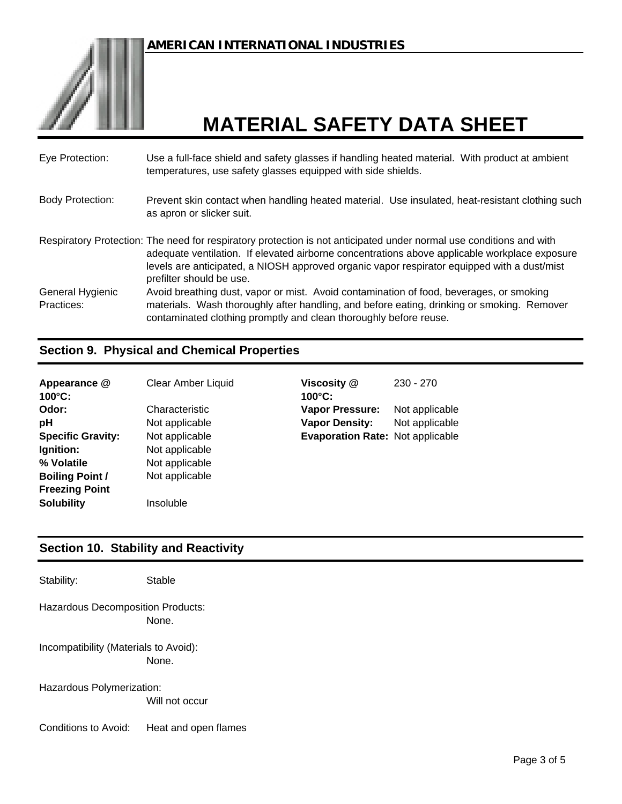

| Eye Protection:                | Use a full-face shield and safety glasses if handling heated material. With product at ambient<br>temperatures, use safety glasses equipped with side shields.                                                                                                                                                                                  |
|--------------------------------|-------------------------------------------------------------------------------------------------------------------------------------------------------------------------------------------------------------------------------------------------------------------------------------------------------------------------------------------------|
| <b>Body Protection:</b>        | Prevent skin contact when handling heated material. Use insulated, heat-resistant clothing such<br>as apron or slicker suit.                                                                                                                                                                                                                    |
|                                | Respiratory Protection: The need for respiratory protection is not anticipated under normal use conditions and with<br>adequate ventilation. If elevated airborne concentrations above applicable workplace exposure<br>levels are anticipated, a NIOSH approved organic vapor respirator equipped with a dust/mist<br>prefilter should be use. |
| General Hygienic<br>Practices: | Avoid breathing dust, vapor or mist. Avoid contamination of food, beverages, or smoking<br>materials. Wash thoroughly after handling, and before eating, drinking or smoking. Remover<br>contaminated clothing promptly and clean thoroughly before reuse.                                                                                      |

# **Section 9. Physical and Chemical Properties**

| Appearance @<br>$100^{\circ}$ C: | Clear Amber Liquid | Viscosity @<br>$100^{\circ}$ C: |
|----------------------------------|--------------------|---------------------------------|
| Odor:                            | Characteristic     | <b>Vapor Pressure:</b>          |
| рH                               | Not applicable     | <b>Vapor Density:</b>           |
| <b>Specific Gravity:</b>         | Not applicable     | <b>Evaporation Rate:</b>        |
| Ignition:                        | Not applicable     |                                 |
| % Volatile                       | Not applicable     |                                 |
| <b>Boiling Point /</b>           | Not applicable     |                                 |
| <b>Freezing Point</b>            |                    |                                 |
| <b>Solubility</b>                | Insoluble          |                                 |

**Viscosity @ 100°C:** 230 - 270 Vapor Pressure: Not applicable **Vapor Density:** Not applicable **Evaporation Rate: Not applicable** 

### **Section 10. Stability and Reactivity**

Stability: Stable None. Incompatibility (Materials to Avoid): None. Hazardous Polymerization: Will not occur Conditions to Avoid: Hazardous Decomposition Products: Heat and open flames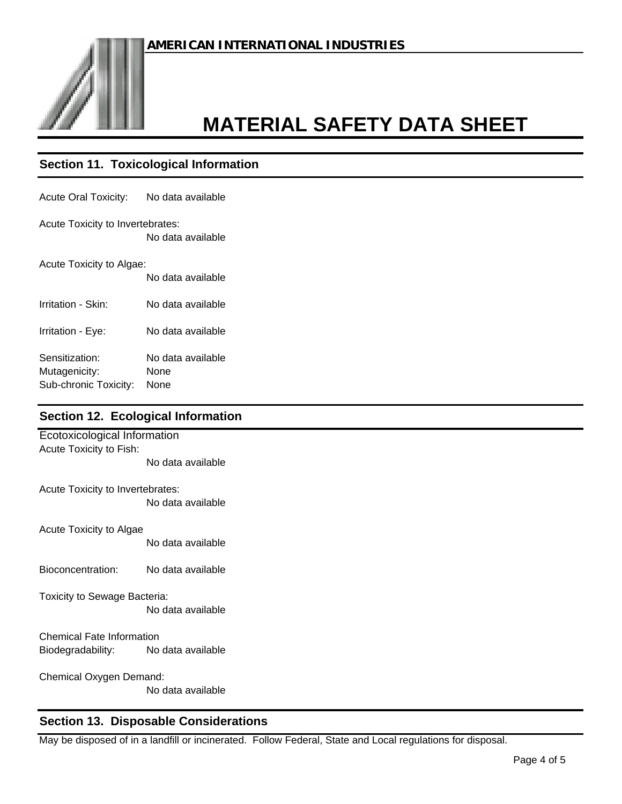

# **Section 11. Toxicological Information**

| Acute Oral Toxicity:                    | No data available |  |
|-----------------------------------------|-------------------|--|
| <b>Acute Toxicity to Invertebrates:</b> | No data available |  |
| Acute Toxicity to Algae:                |                   |  |
|                                         | No data available |  |
| Irritation - Skin:                      | No data available |  |
| Irritation - Eye:                       | No data available |  |
| Sensitization:                          | No data available |  |
| Mutagenicity:                           | None              |  |
| Sub-chronic Toxicity:                   | None              |  |

### **Section 12. Ecological Information**

| Ecotoxicological Information        |                   |  |
|-------------------------------------|-------------------|--|
| Acute Toxicity to Fish:             |                   |  |
|                                     | No data available |  |
| Acute Toxicity to Invertebrates:    |                   |  |
|                                     | No data available |  |
|                                     |                   |  |
| Acute Toxicity to Algae             |                   |  |
|                                     | No data available |  |
|                                     |                   |  |
| Bioconcentration: No data available |                   |  |
| Toxicity to Sewage Bacteria:        |                   |  |
|                                     | No data available |  |
|                                     |                   |  |
| <b>Chemical Fate Information</b>    |                   |  |
| Biodegradability: No data available |                   |  |
|                                     |                   |  |
| Chemical Oxygen Demand:             |                   |  |
|                                     | No data available |  |
|                                     |                   |  |

# **Section 13. Disposable Considerations**

May be disposed of in a landfill or incinerated. Follow Federal, State and Local regulations for disposal.